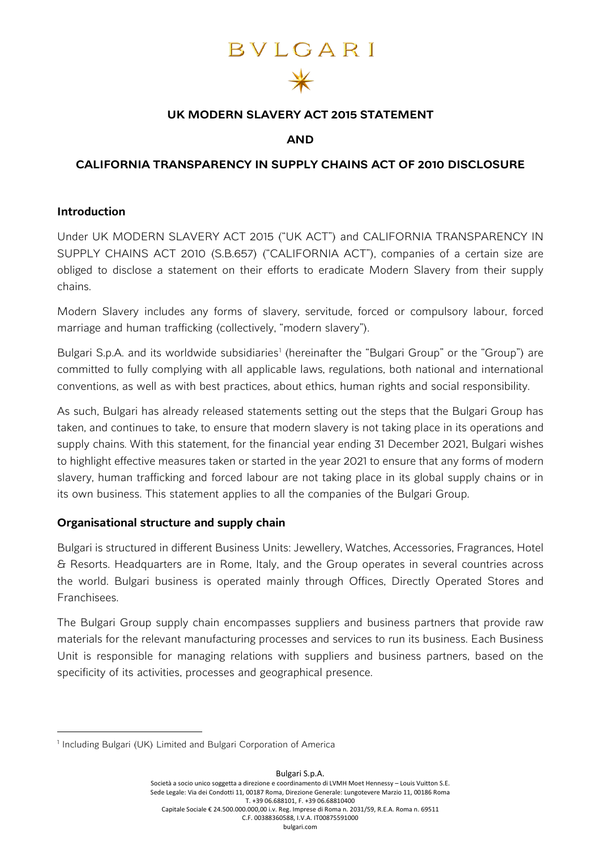### BVLGARI



### **UK MODERN SLAVERY ACT 2015 STATEMENT**

### **AND**

### **CALIFORNIA TRANSPARENCY IN SUPPLY CHAINS ACT OF 2010 DISCLOSURE**

### **Introduction**

Under UK MODERN SLAVERY ACT 2015 ("UK ACT") and CALIFORNIA TRANSPARENCY IN SUPPLY CHAINS ACT 2010 (S.B.657) ("CALIFORNIA ACT"), companies of a certain size are obliged to disclose a statement on their efforts to eradicate Modern Slavery from their supply chains.

Modern Slavery includes any forms of slavery, servitude, forced or compulsory labour, forced marriage and human trafficking (collectively, "modern slavery").

Bulgari S.p.A. and its worldwide subsidiaries<sup>1</sup> (hereinafter the "Bulgari Group" or the "Group") are committed to fully complying with all applicable laws, regulations, both national and international conventions, as well as with best practices, about ethics, human rights and social responsibility.

As such, Bulgari has already released statements setting out the steps that the Bulgari Group has taken, and continues to take, to ensure that modern slavery is not taking place in its operations and supply chains. With this statement, for the financial year ending 31 December 2021, Bulgari wishes to highlight effective measures taken or started in the year 2021 to ensure that any forms of modern slavery, human trafficking and forced labour are not taking place in its global supply chains or in its own business. This statement applies to all the companies of the Bulgari Group.

### **Organisational structure and supply chain**

Bulgari is structured in different Business Units: Jewellery, Watches, Accessories, Fragrances, Hotel & Resorts. Headquarters are in Rome, Italy, and the Group operates in several countries across the world. Bulgari business is operated mainly through Offices, Directly Operated Stores and Franchisees.

The Bulgari Group supply chain encompasses suppliers and business partners that provide raw materials for the relevant manufacturing processes and services to run its business. Each Business Unit is responsible for managing relations with suppliers and business partners, based on the specificity of its activities, processes and geographical presence.

<span id="page-0-0"></span><sup>&</sup>lt;sup>1</sup> Including Bulgari (UK) Limited and Bulgari Corporation of America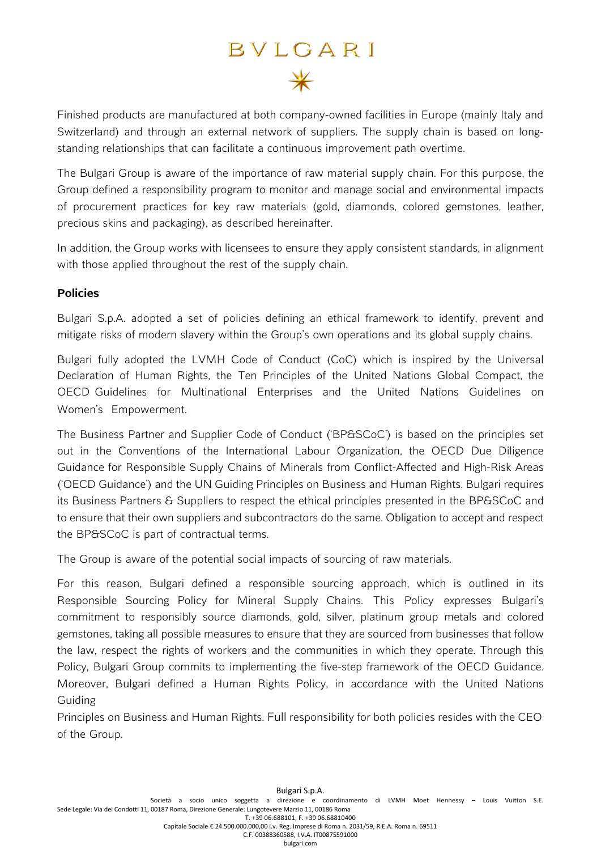## BVLGARI  $\frac{1}{\sqrt{2}}$

Finished products are manufactured at both company-owned facilities in Europe (mainly Italy and Switzerland) and through an external network of suppliers. The supply chain is based on longstanding relationships that can facilitate a continuous improvement path overtime.

The Bulgari Group is aware of the importance of raw material supply chain. For this purpose, the Group defined a responsibility program to monitor and manage social and environmental impacts of procurement practices for key raw materials (gold, diamonds, colored gemstones, leather, precious skins and packaging), as described hereinafter.

In addition, the Group works with licensees to ensure they apply consistent standards, in alignment with those applied throughout the rest of the supply chain.

### **Policies**

Bulgari S.p.A. adopted a set of policies defining an ethical framework to identify, prevent and mitigate risks of modern slavery within the Group's own operations and its global supply chains.

Bulgari fully adopted the LVMH Code of Conduct (CoC) which is inspired by the Universal Declaration of Human Rights, the Ten Principles of the United Nations Global Compact, the OECD Guidelines for Multinational Enterprises and the United Nations Guidelines on Women's Empowerment.

The Business Partner and Supplier Code of Conduct ('BP&SCoC') is based on the principles set out in the Conventions of the International Labour Organization, the OECD Due Diligence Guidance for Responsible Supply Chains of Minerals from Conflict-Affected and High-Risk Areas ('OECD Guidance') and the UN Guiding Principles on Business and Human Rights. Bulgari requires its Business Partners & Suppliers to respect the ethical principles presented in the BP&SCoC and to ensure that their own suppliers and subcontractors do the same. Obligation to accept and respect the BP&SCoC is part of contractual terms.

The Group is aware of the potential social impacts of sourcing of raw materials.

For this reason, Bulgari defined a responsible sourcing approach, which is outlined in its [Responsible Sourcing Policy for Mineral Supply Chains](https://media2.bulgari.com/image/upload/v1595236768/pdf/Responsible-Sourcing-Policy-for-Mineral-Supply-Chains-2007-accessible.pdf). This Policy expresses Bulgari's commitment to responsibly source diamonds, gold, silver, platinum group metals and colored gemstones, taking all possible measures to ensure that they are sourced from businesses that follow the law, respect the rights of workers and the communities in which they operate. Through this Policy, Bulgari Group commits to implementing the five-step framework of the OECD Guidance. Moreover, Bulgari defined a Human Rights Policy[,](https://media2.bulgari.com/image/upload/v1595236768/pdf/Human-Rights-Policy-2007-accessible.pdf) in accordance with the United Nations Guiding

Principles on Business and Human Rights. Full responsibility for both policies resides with the CEO of the Group.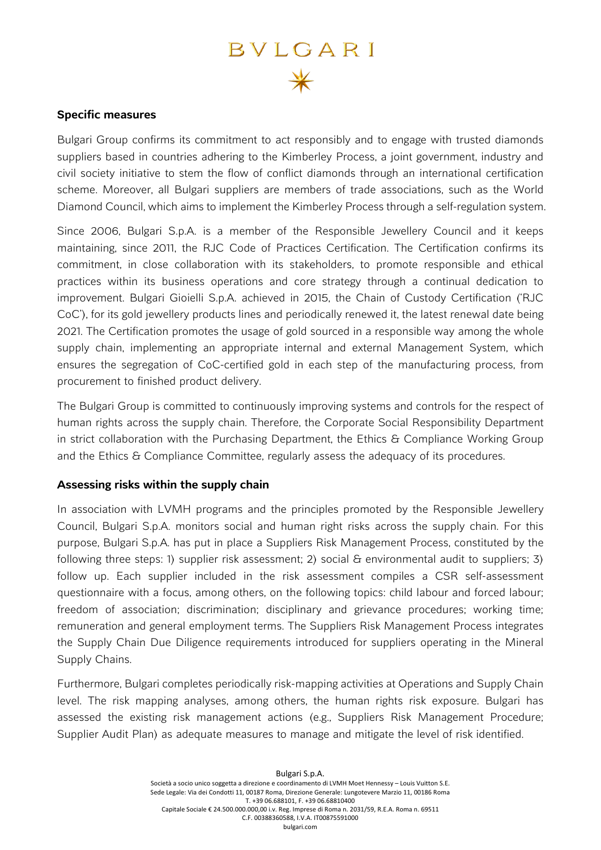## BVLGARI

### **Specific measures**

Bulgari Group confirms its commitment to act responsibly and to engage with trusted diamonds suppliers based in countries adhering to the Kimberley Process, a joint government, industry and civil society initiative to stem the flow of conflict diamonds through an international certification scheme. Moreover, all Bulgari suppliers are members of trade associations, such as the World Diamond Council, which aims to implement the Kimberley Process through a self-regulation system.

Since 2006, Bulgari S.p.A. is a member of the Responsible Jewellery Council and it keeps maintaining, since 2011, the RJC Code of Practices Certification. The Certification confirms its commitment, in close collaboration with its stakeholders, to promote responsible and ethical practices within its business operations and core strategy through a continual dedication to improvement. Bulgari Gioielli S.p.A. achieved in 2015, the Chain of Custody Certification ('RJC CoC'), for its gold jewellery products lines and periodically renewed it, the latest renewal date being 2021. The Certification promotes the usage of gold sourced in a responsible way among the whole supply chain, implementing an appropriate internal and external Management System, which ensures the segregation of CoC-certified gold in each step of the manufacturing process, from procurement to finished product delivery.

The Bulgari Group is committed to continuously improving systems and controls for the respect of human rights across the supply chain. Therefore, the Corporate Social Responsibility Department in strict collaboration with the Purchasing Department, the Ethics & Compliance Working Group and the Ethics & Compliance Committee, regularly assess the adequacy of its procedures.

### **Assessing risks within the supply chain**

In association with LVMH programs and the principles promoted by the Responsible Jewellery Council, Bulgari S.p.A. monitors social and human right risks across the supply chain. For this purpose, Bulgari S.p.A. has put in place a Suppliers Risk Management Process, constituted by the following three steps: 1) supplier risk assessment; 2) social & environmental audit to suppliers; 3) follow up. Each supplier included in the risk assessment compiles a CSR self-assessment questionnaire with a focus, among others, on the following topics: child labour and forced labour; freedom of association; discrimination; disciplinary and grievance procedures; working time; remuneration and general employment terms. The Suppliers Risk Management Process integrates the Supply Chain Due Diligence requirements introduced for suppliers operating in the Mineral Supply Chains.

Furthermore, Bulgari completes periodically risk-mapping activities at Operations and Supply Chain level. The risk mapping analyses, among others, the human rights risk exposure. Bulgari has assessed the existing risk management actions (e.g., Suppliers Risk Management Procedure; Supplier Audit Plan) as adequate measures to manage and mitigate the level of risk identified.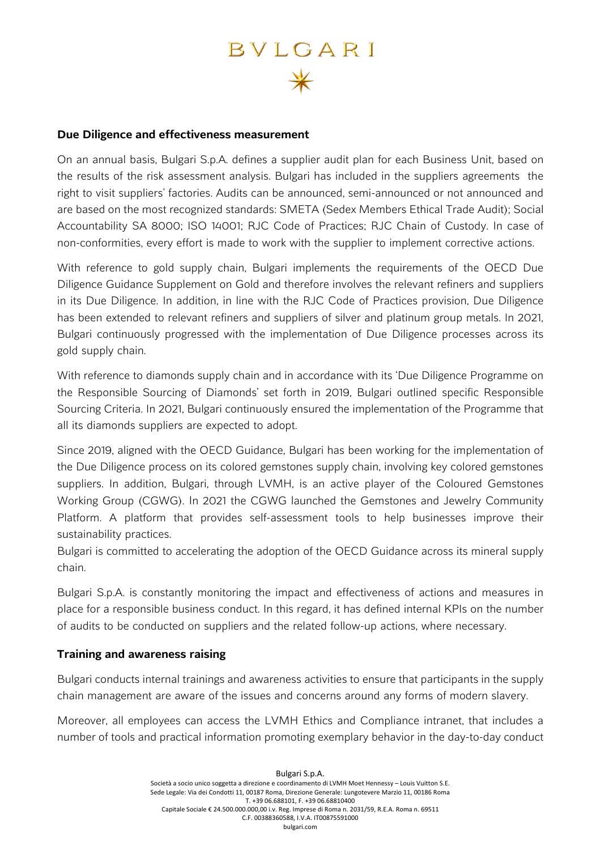# BVLGARI

#### **Due Diligence and effectiveness measurement**

On an annual basis, Bulgari S.p.A. defines a supplier audit plan for each Business Unit, based on the results of the risk assessment analysis. Bulgari has included in the suppliers agreements the right to visit suppliers' factories. Audits can be announced, semi-announced or not announced and are based on the most recognized standards: SMETA (Sedex Members Ethical Trade Audit); Social Accountability SA 8000; ISO 14001; RJC Code of Practices; RJC Chain of Custody. In case of non-conformities, every effort is made to work with the supplier to implement corrective actions.

With reference to gold supply chain, Bulgari implements the requirements of the OECD Due Diligence Guidance Supplement on Gold and therefore involves the relevant refiners and suppliers in its Due Diligence. In addition, in line with the RJC Code of Practices provision, Due Diligence has been extended to relevant refiners and suppliers of silver and platinum group metals. In 2021, Bulgari continuously progressed with the implementation of Due Diligence processes across its gold supply chain.

With reference to diamonds supply chain and in accordance with its 'Due Diligence Programme on the Responsible Sourcing of Diamonds' set forth in 2019, Bulgari outlined specific Responsible Sourcing Criteria. In 2021, Bulgari continuously ensured the implementation of the Programme that all its diamonds suppliers are expected to adopt.

Since 2019, aligned with the OECD Guidance, Bulgari has been working for the implementation of the Due Diligence process on its colored gemstones supply chain, involving key colored gemstones suppliers. In addition, Bulgari, through LVMH, is an active player of the Coloured Gemstones Working Group (CGWG). In 2021 the CGWG launched the Gemstones and Jewelry Community Platform. A platform that provides self-assessment tools to help businesses improve their sustainability practices.

Bulgari is committed to accelerating the adoption of the OECD Guidance across its mineral supply chain.

Bulgari S.p.A. is constantly monitoring the impact and effectiveness of actions and measures in place for a responsible business conduct. In this regard, it has defined internal KPIs on the number of audits to be conducted on suppliers and the related follow-up actions, where necessary.

### **Training and awareness raising**

Bulgari conducts internal trainings and awareness activities to ensure that participants in the supply chain management are aware of the issues and concerns around any forms of modern slavery.

Moreover, all employees can access the LVMH Ethics and Compliance intranet, that includes a number of tools and practical information promoting exemplary behavior in the day-to-day conduct